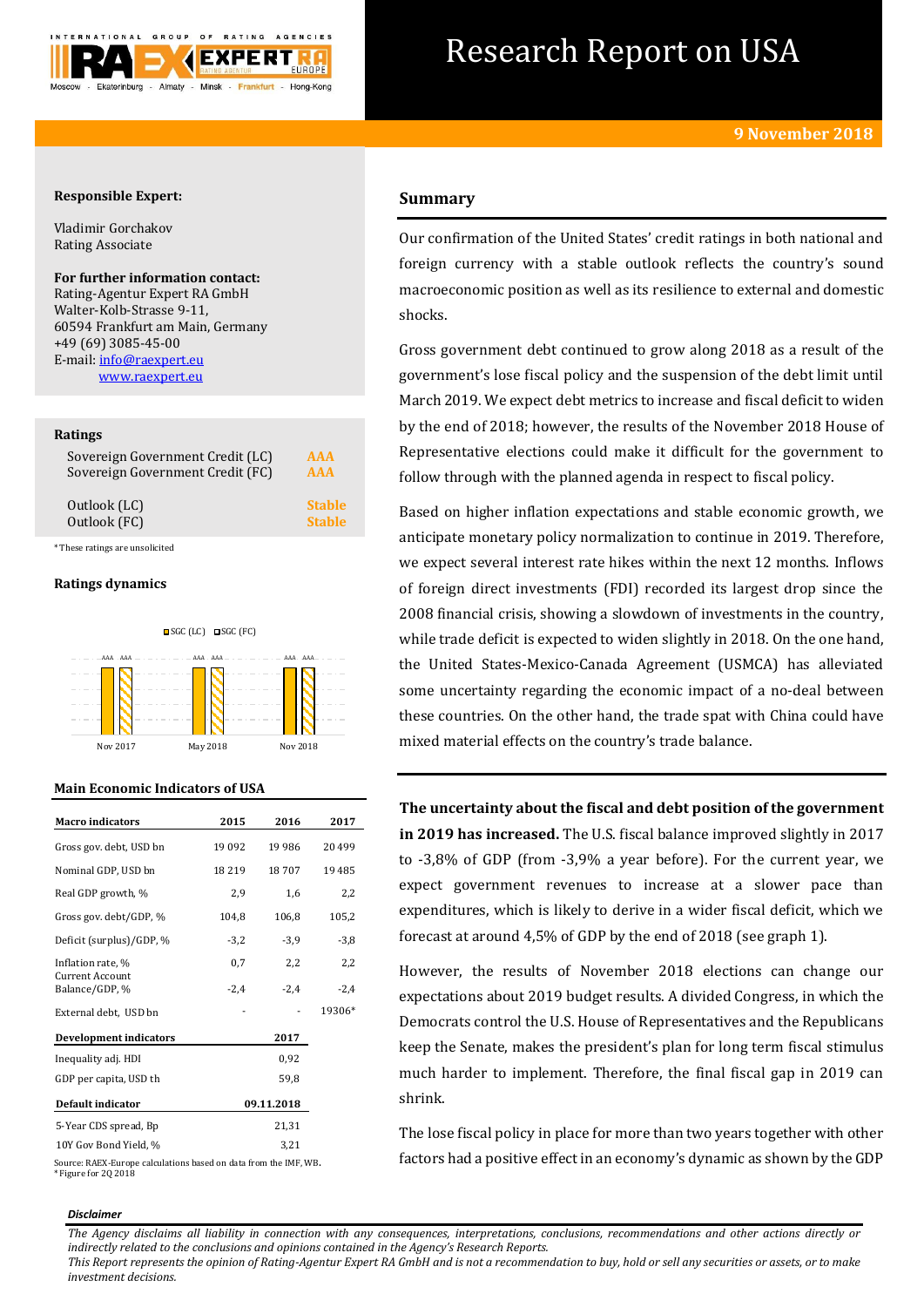

# Research Report on USA

# **Responsible Expert:**

Vladimir Gorchakov Rating Associate

# **For further information contact:**

Rating-Agentur Expert RA GmbH Walter-Kolb-Strasse 9-11, 60594 Frankfurt am Main, Germany +49 (69) 3085-45-00 E-mail[: info@raexpert.eu](mailto:info@raexpert.eu) [www.raexpert.eu](http://raexpert.eu/)

## **Ratings**

| Sovereign Government Credit (LC) | AAA           |
|----------------------------------|---------------|
| Sovereign Government Credit (FC) | <b>AAA</b>    |
| Outlook (LC)                     | <b>Stable</b> |
| Outlook (FC)                     | <b>Stable</b> |

\* These ratings are unsolicited

## **Ratings dynamics**



## **Main Economic Indicators of USA**

| <b>Macro indicators</b>           | 2015     | 2016       | 2017   |
|-----------------------------------|----------|------------|--------|
| Gross gov. debt, USD bn           | 19 0 9 2 | 19 9 86    | 20499  |
| Nominal GDP, USD bn               | 18219    | 18707      | 19485  |
| Real GDP growth, %                | 2,9      | 1,6        | 2,2    |
| Gross gov. debt/GDP, %            | 104,8    | 106,8      | 105,2  |
| Deficit (surplus)/GDP, %          | $-3,2$   | $-3,9$     | $-3,8$ |
| Inflation rate, %                 | 0,7      | 2,2        | 2,2    |
| Current Account<br>Balance/GDP, % | $-2,4$   | $-2,4$     | $-2.4$ |
| External debt, USD bn             |          |            | 19306* |
| <b>Development indicators</b>     |          | 2017       |        |
| Inequality adj. HDI               |          | 0,92       |        |
| GDP per capita, USD th            |          | 59,8       |        |
| Default indicator                 |          | 09.11.2018 |        |
| 5-Year CDS spread, Bp             |          | 21,31      |        |
| 10Y Gov Bond Yield, %             |          | 3.21       |        |

Source: RAEX-Europe calculations based on data from the IMF, WB**.** \* Figure for 2Q 2018

# **Summary**

Our confirmation of the United States' credit ratings in both national and foreign currency with a stable outlook reflects the country's sound macroeconomic position as well as its resilience to external and domestic shocks.

Gross government debt continued to grow along 2018 as a result of the government's lose fiscal policy and the suspension of the debt limit until March 2019. We expect debt metrics to increase and fiscal deficit to widen by the end of 2018; however, the results of the November 2018 House of Representative elections could make it difficult for the government to follow through with the planned agenda in respect to fiscal policy.

Based on higher inflation expectations and stable economic growth, we anticipate monetary policy normalization to continue in 2019. Therefore, we expect several interest rate hikes within the next 12 months. Inflows of foreign direct investments (FDI) recorded its largest drop since the 2008 financial crisis, showing a slowdown of investments in the country, while trade deficit is expected to widen slightly in 2018. On the one hand, the United States-Mexico-Canada Agreement (USMCA) has alleviated some uncertainty regarding the economic impact of a no-deal between these countries. On the other hand, the trade spat with China could have mixed material effects on the country's trade balance.

**The uncertainty about the fiscal and debt position of the government in 2019 has increased.** The U.S. fiscal balance improved slightly in 2017 to -3,8% of GDP (from -3,9% a year before). For the current year, we expect government revenues to increase at a slower pace than expenditures, which is likely to derive in a wider fiscal deficit, which we forecast at around 4,5% of GDP by the end of 2018 (see graph 1).

However, the results of November 2018 elections can change our expectations about 2019 budget results. A divided Congress, in which the Democrats control the U.S. House of Representatives and the Republicans keep the Senate, makes the president's plan for long term fiscal stimulus much harder to implement. Therefore, the final fiscal gap in 2019 can shrink.

The lose fiscal policy in place for more than two years together with other factors had a positive effect in an economy's dynamic as shown by the GDP

#### *Disclaimer*

*The Agency disclaims all liability in connection with any consequences, interpretations, conclusions, recommendations and other actions directly or indirectly related to the conclusions and opinions contained in the Agency's Research Reports.*

*This Report represents the opinion of Rating-Agentur Expert RA GmbH and is not a recommendation to buy, hold or sell any securities or assets, or to make investment decisions.*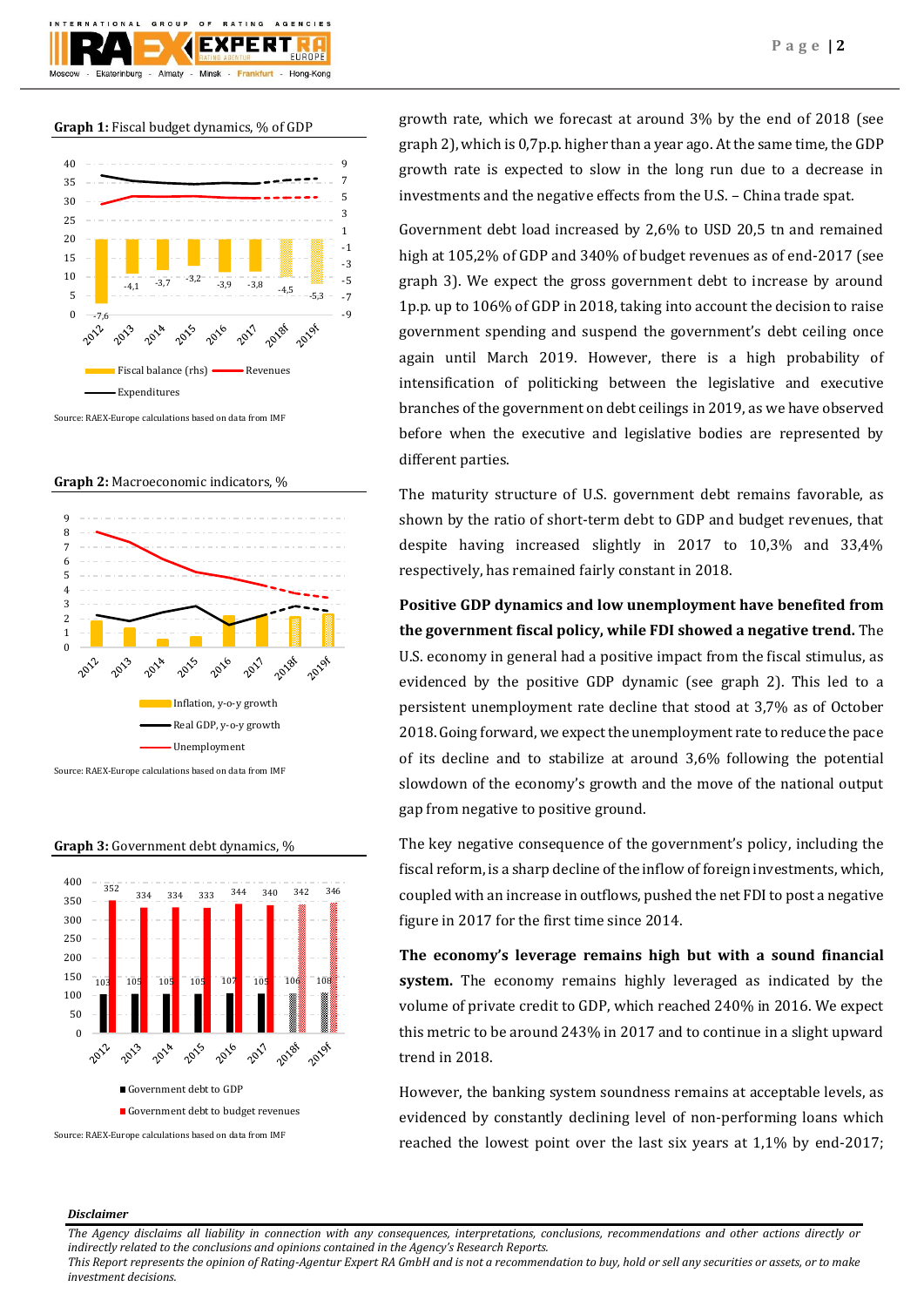

## **Graph 1:** Fiscal budget dynamics, % of GDP



Source: RAEX-Europe calculations based on data from IMF









growth rate, which we forecast at around 3% by the end of 2018 (see graph 2), which is 0,7p.p. higher than a year ago. At the same time, the GDP growth rate is expected to slow in the long run due to a decrease in investments and the negative effects from the U.S. – China trade spat.

Government debt load increased by 2,6% to USD 20,5 tn and remained high at 105,2% of GDP and 340% of budget revenues as of end-2017 (see graph 3). We expect the gross government debt to increase by around 1p.p. up to 106% of GDP in 2018, taking into account the decision to raise government spending and suspend the government's debt ceiling once again until March 2019. However, there is a high probability of intensification of politicking between the legislative and executive branches of the government on debt ceilings in 2019, as we have observed before when the executive and legislative bodies are represented by different parties.

The maturity structure of U.S. government debt remains favorable, as shown by the ratio of short-term debt to GDP and budget revenues, that despite having increased slightly in 2017 to 10,3% and 33,4% respectively, has remained fairly constant in 2018.

**Positive GDP dynamics and low unemployment have benefited from the government fiscal policy, while FDI showed a negative trend.** The U.S. economy in general had a positive impact from the fiscal stimulus, as evidenced by the positive GDP dynamic (see graph 2). This led to a persistent unemployment rate decline that stood at 3,7% as of October 2018. Going forward, we expect the unemployment rate to reduce the pace of its decline and to stabilize at around 3,6% following the potential slowdown of the economy's growth and the move of the national output gap from negative to positive ground.

The key negative consequence of the government's policy, including the fiscal reform, is a sharp decline of the inflow of foreign investments, which, coupled with an increase in outflows, pushed the net FDI to post a negative figure in 2017 for the first time since 2014.

**The economy's leverage remains high but with a sound financial system.** The economy remains highly leveraged as indicated by the volume of private credit to GDP, which reached 240% in 2016. We expect this metric to be around 243% in 2017 and to continue in a slight upward trend in 2018.

However, the banking system soundness remains at acceptable levels, as evidenced by constantly declining level of non-performing loans which reached the lowest point over the last six years at 1,1% by end-2017;

## *Disclaimer*

*The Agency disclaims all liability in connection with any consequences, interpretations, conclusions, recommendations and other actions directly or indirectly related to the conclusions and opinions contained in the Agency's Research Reports.*

*This Report represents the opinion of Rating-Agentur Expert RA GmbH and is not a recommendation to buy, hold or sell any securities or assets, or to make investment decisions.*